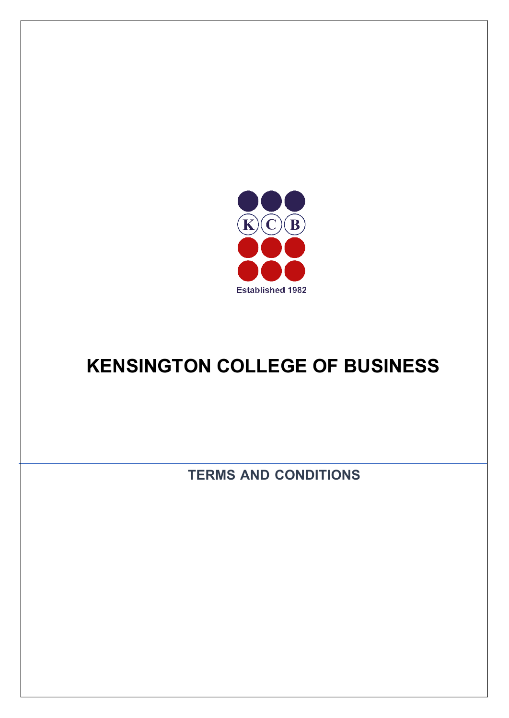

## **KENSINGTON COLLEGE OF BUSINESS**

**TERMS AND CONDITIONS**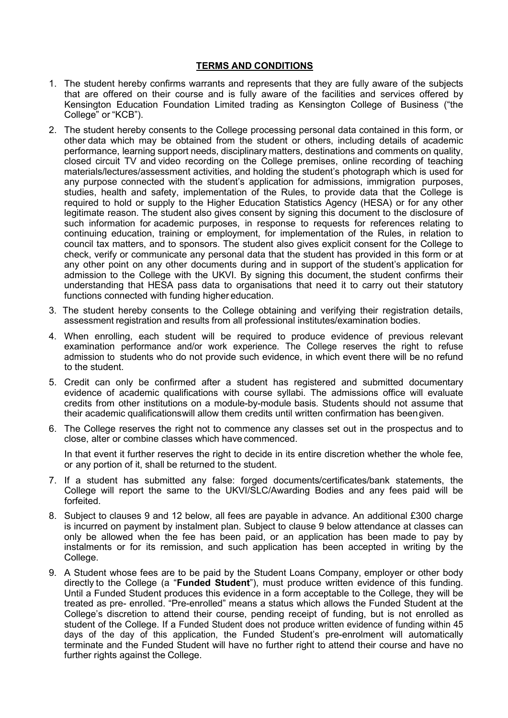## **TERMS AND CONDITIONS**

- 1. The student hereby confirms warrants and represents that they are fully aware of the subjects that are offered on their course and is fully aware of the facilities and services offered by Kensington Education Foundation Limited trading as Kensington College of Business ("the College" or "KCB").
- 2. The student hereby consents to the College processing personal data contained in this form, or other data which may be obtained from the student or others, including details of academic performance, learning support needs, disciplinary matters, destinations and comments on quality, closed circuit TV and video recording on the College premises, online recording of teaching materials/lectures/assessment activities, and holding the student's photograph which is used for any purpose connected with the student's application for admissions, immigration purposes, studies, health and safety, implementation of the Rules, to provide data that the College is required to hold or supply to the Higher Education Statistics Agency (HESA) or for any other legitimate reason. The student also gives consent by signing this document to the disclosure of such information for academic purposes, in response to requests for references relating to continuing education, training or employment, for implementation of the Rules, in relation to council tax matters, and to sponsors. The student also gives explicit consent for the College to check, verify or communicate any personal data that the student has provided in this form or at any other point on any other documents during and in support of the student's application for admission to the College with the UKVI. By signing this document, the student confirms their understanding that HESA pass data to organisations that need it to carry out their statutory functions connected with funding higher education.
- 3. The student hereby consents to the College obtaining and verifying their registration details, assessment registration and results from all professional institutes/examination bodies.
- 4. When enrolling, each student will be required to produce evidence of previous relevant examination performance and/or work experience. The College reserves the right to refuse admission to students who do not provide such evidence, in which event there will be no refund to the student.
- 5. Credit can only be confirmed after a student has registered and submitted documentary evidence of academic qualifications with course syllabi. The admissions office will evaluate credits from other institutions on a module-by-module basis. Students should not assume that their academic qualificationswill allow them credits until written confirmation has beengiven.
- 6. The College reserves the right not to commence any classes set out in the prospectus and to close, alter or combine classes which have commenced.

In that event it further reserves the right to decide in its entire discretion whether the whole fee, or any portion of it, shall be returned to the student.

- 7. If a student has submitted any false: forged documents/certificates/bank statements, the College will report the same to the UKVI/SLC/Awarding Bodies and any fees paid will be forfeited.
- 8. Subject to clauses 9 and 12 below, all fees are payable in advance. An additional £300 charge is incurred on payment by instalment plan. Subject to clause 9 below attendance at classes can only be allowed when the fee has been paid, or an application has been made to pay by instalments or for its remission, and such application has been accepted in writing by the College.
- 9. A Student whose fees are to be paid by the Student Loans Company, employer or other body directly to the College (a "**Funded Student**"), must produce written evidence of this funding. Until a Funded Student produces this evidence in a form acceptable to the College, they will be treated as pre- enrolled. "Pre-enrolled" means a status which allows the Funded Student at the College's discretion to attend their course, pending receipt of funding, but is not enrolled as student of the College. If a Funded Student does not produce written evidence of funding within 45 days of the day of this application, the Funded Student's pre-enrolment will automatically terminate and the Funded Student will have no further right to attend their course and have no further rights against the College.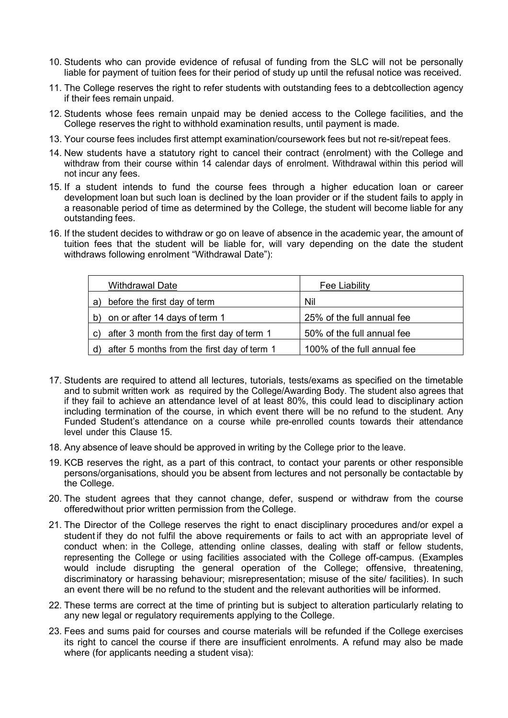- 10. Students who can provide evidence of refusal of funding from the SLC will not be personally liable for payment of tuition fees for their period of study up until the refusal notice was received.
- 11. The College reserves the right to refer students with outstanding fees to a debtcollection agency if their fees remain unpaid.
- 12. Students whose fees remain unpaid may be denied access to the College facilities, and the College reserves the right to withhold examination results, until payment is made.
- 13. Your course fees includes first attempt examination/coursework fees but not re-sit/repeat fees.
- 14. New students have a statutory right to cancel their contract (enrolment) with the College and withdraw from their course within 14 calendar days of enrolment. Withdrawal within this period will not incur any fees.
- 15. If a student intends to fund the course fees through a higher education loan or career development loan but such loan is declined by the loan provider or if the student fails to apply in a reasonable period of time as determined by the College, the student will become liable for any outstanding fees.
- 16. If the student decides to withdraw or go on leave of absence in the academic year, the amount of tuition fees that the student will be liable for, will vary depending on the date the student withdraws following enrolment "Withdrawal Date"):

|    | <b>Withdrawal Date</b>                      | <b>Fee Liability</b>        |
|----|---------------------------------------------|-----------------------------|
| a) | before the first day of term                | Nil                         |
| b) | on or after 14 days of term 1               | 25% of the full annual fee  |
| C) | after 3 month from the first day of term 1  | 50% of the full annual fee  |
| d) | after 5 months from the first day of term 1 | 100% of the full annual fee |

- 17. Students are required to attend all lectures, tutorials, tests/exams as specified on the timetable and to submit written work as required by the College/Awarding Body. The student also agrees that if they fail to achieve an attendance level of at least 80%, this could lead to disciplinary action including termination of the course, in which event there will be no refund to the student. Any Funded Student's attendance on a course while pre-enrolled counts towards their attendance level under this Clause 15.
- 18. Any absence of leave should be approved in writing by the College prior to the leave.
- 19. KCB reserves the right, as a part of this contract, to contact your parents or other responsible persons/organisations, should you be absent from lectures and not personally be contactable by the College.
- 20. The student agrees that they cannot change, defer, suspend or withdraw from the course offeredwithout prior written permission from the College.
- 21. The Director of the College reserves the right to enact disciplinary procedures and/or expel a student if they do not fulfil the above requirements or fails to act with an appropriate level of conduct when: in the College, attending online classes, dealing with staff or fellow students, representing the College or using facilities associated with the College off-campus. (Examples would include disrupting the general operation of the College; offensive, threatening, discriminatory or harassing behaviour; misrepresentation; misuse of the site/ facilities). In such an event there will be no refund to the student and the relevant authorities will be informed.
- 22. These terms are correct at the time of printing but is subject to alteration particularly relating to any new legal or regulatory requirements applying to the College.
- 23. Fees and sums paid for courses and course materials will be refunded if the College exercises its right to cancel the course if there are insufficient enrolments. A refund may also be made where (for applicants needing a student visa):